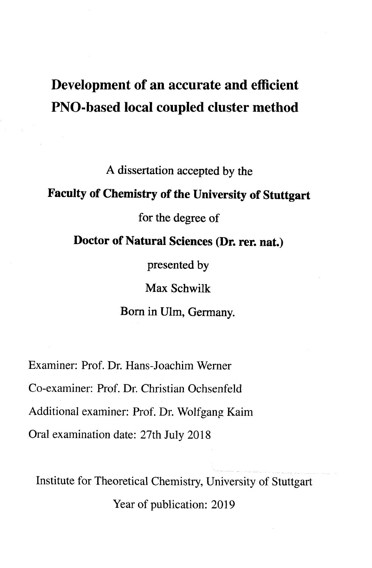# Development of an accurate and efficient PNO-based local coupled cluster method

A dissertation accepted by the

### Faculty of Chemistry of the University of Stuttgart

for the degree of

Doctor of Natural Sciences (Dr. rer. nat.)

presented by

Max Schwilk

Born in Ulm, Germany.

Examiner: Prof. Dr. Hans-Joachim Werner

Co-examiner: Prof. Dr. Christian Ochsenfeld

Additional examiner: Prof. Dr. Wolfgang Kaim

Oral examination date: 27th July 2018

Institute for Theoretical Chemistry, University of Stuttgart Year of publication: 2019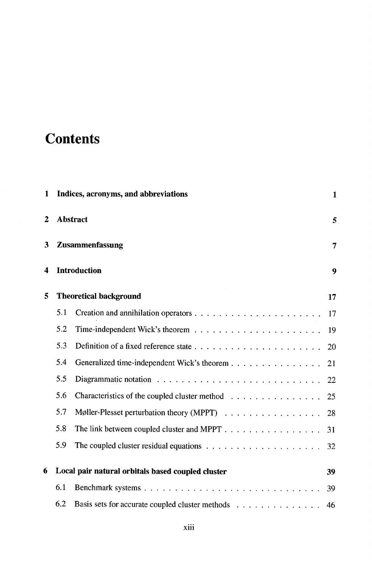## **Contents**

| 1                    |          | Indices, acronyms, and abbreviations              | 1  |  |  |  |
|----------------------|----------|---------------------------------------------------|----|--|--|--|
| $\mathbf{2}$         | Abstract |                                                   |    |  |  |  |
| Zusammenfassung<br>3 |          |                                                   | 7  |  |  |  |
| 4                    |          | <b>Introduction</b>                               | 9  |  |  |  |
| 5                    |          | <b>Theoretical background</b>                     | 17 |  |  |  |
|                      | 5.1      |                                                   | 17 |  |  |  |
|                      | 5.2      |                                                   | 19 |  |  |  |
|                      | 5.3      |                                                   | 20 |  |  |  |
|                      | 5.4      | Generalized time-independent Wick's theorem       | 21 |  |  |  |
|                      | 5.5      |                                                   | 22 |  |  |  |
|                      | 5.6      | Characteristics of the coupled cluster method     | 25 |  |  |  |
|                      | 5.7      | Møller-Plesset perturbation theory (MPPT)         | 28 |  |  |  |
|                      | 5.8      | The link between coupled cluster and MPPT         | 31 |  |  |  |
|                      | 5.9      |                                                   |    |  |  |  |
| 6                    |          | Local pair natural orbitals based coupled cluster | 39 |  |  |  |
|                      | 6.1      |                                                   | 39 |  |  |  |
|                      | 6.2      | Basis sets for accurate coupled cluster methods   | 46 |  |  |  |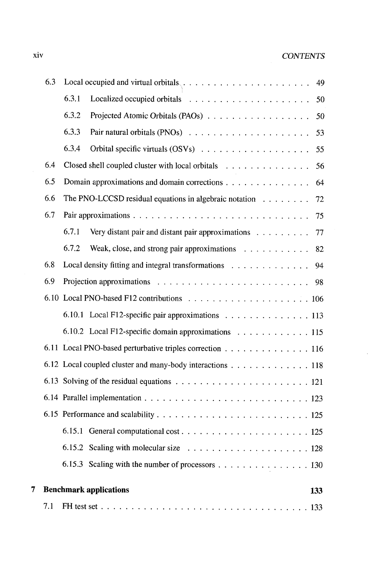### xiv CONTENTS

| 6.3 |     |                               |                                                           |  |  |  |  | 49  |
|-----|-----|-------------------------------|-----------------------------------------------------------|--|--|--|--|-----|
|     |     | 6.3.1                         |                                                           |  |  |  |  | 50  |
|     |     | 6.3.2                         | Projected Atomic Orbitals (PAOs)                          |  |  |  |  | 50  |
|     |     | 6.3.3                         |                                                           |  |  |  |  | 53  |
|     |     | 6.3.4                         |                                                           |  |  |  |  | 55  |
|     | 6.4 |                               | Closed shell coupled cluster with local orbitals          |  |  |  |  | 56  |
|     | 6.5 |                               | Domain approximations and domain corrections              |  |  |  |  | 64  |
|     | 6.6 |                               | The PNO-LCCSD residual equations in algebraic notation    |  |  |  |  | 72  |
|     | 6.7 |                               |                                                           |  |  |  |  | 75  |
|     |     | 6.7.1                         | Very distant pair and distant pair approximations         |  |  |  |  | 77  |
|     |     | 6.7.2                         | Weak, close, and strong pair approximations               |  |  |  |  | 82  |
|     | 6.8 |                               | Local density fitting and integral transformations        |  |  |  |  | 94  |
|     | 6.9 |                               |                                                           |  |  |  |  |     |
|     |     |                               |                                                           |  |  |  |  |     |
|     |     |                               | 6.10.1 Local F12-specific pair approximations 113         |  |  |  |  |     |
|     |     |                               | 6.10.2 Local F12-specific domain approximations 115       |  |  |  |  |     |
|     |     |                               | 6.11 Local PNO-based perturbative triples correction 116  |  |  |  |  |     |
|     |     |                               | 6.12 Local coupled cluster and many-body interactions 118 |  |  |  |  |     |
|     |     |                               |                                                           |  |  |  |  |     |
|     |     |                               |                                                           |  |  |  |  |     |
|     |     |                               |                                                           |  |  |  |  |     |
|     |     |                               |                                                           |  |  |  |  |     |
|     |     |                               |                                                           |  |  |  |  |     |
|     |     |                               | 6.15.3 Scaling with the number of processors 130          |  |  |  |  |     |
| 7   |     | <b>Benchmark applications</b> |                                                           |  |  |  |  | 133 |
|     | 7.1 |                               |                                                           |  |  |  |  |     |
|     |     |                               |                                                           |  |  |  |  |     |